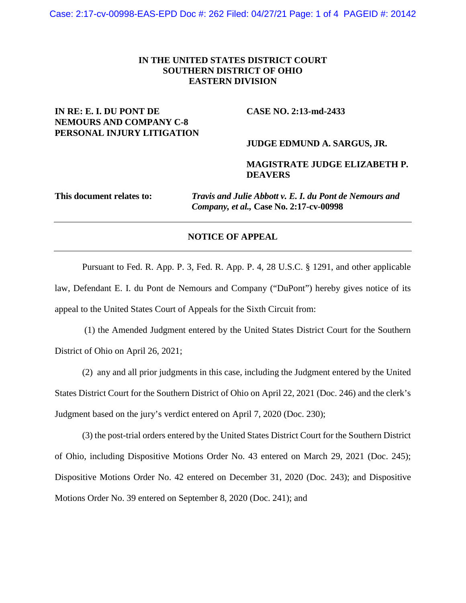### **IN THE UNITED STATES DISTRICT COURT SOUTHERN DISTRICT OF OHIO EASTERN DIVISION**

## **IN RE: E. I. DU PONT DE CASE NO. 2:13-md-2433 NEMOURS AND COMPANY C-8 PERSONAL INJURY LITIGATION**

#### **JUDGE EDMUND A. SARGUS, JR.**

### **MAGISTRATE JUDGE ELIZABETH P. DEAVERS**

**This document relates to:** *Travis and Julie Abbott v. E. I. du Pont de Nemours and Company, et al.,* **Case No. 2:17-cv-00998** 

### **NOTICE OF APPEAL**

Pursuant to Fed. R. App. P. 3, Fed. R. App. P. 4, 28 U.S.C. § 1291, and other applicable law, Defendant E. I. du Pont de Nemours and Company ("DuPont") hereby gives notice of its appeal to the United States Court of Appeals for the Sixth Circuit from:

 (1) the Amended Judgment entered by the United States District Court for the Southern District of Ohio on April 26, 2021;

(2) any and all prior judgments in this case, including the Judgment entered by the United States District Court for the Southern District of Ohio on April 22, 2021 (Doc. 246) and the clerk's Judgment based on the jury's verdict entered on April 7, 2020 (Doc. 230);

(3) the post-trial orders entered by the United States District Court for the Southern District of Ohio, including Dispositive Motions Order No. 43 entered on March 29, 2021 (Doc. 245); Dispositive Motions Order No. 42 entered on December 31, 2020 (Doc. 243); and Dispositive Motions Order No. 39 entered on September 8, 2020 (Doc. 241); and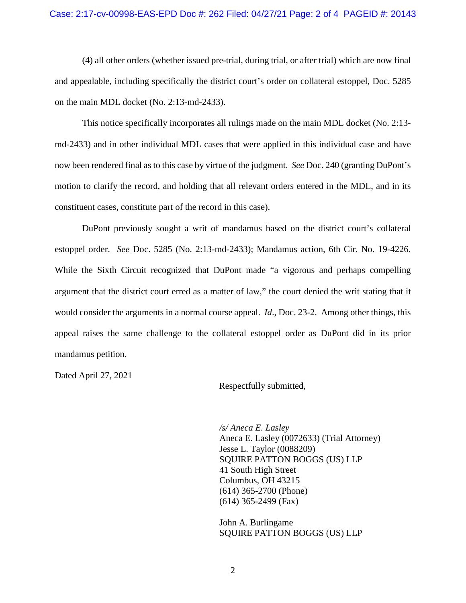#### Case: 2:17-cv-00998-EAS-EPD Doc #: 262 Filed: 04/27/21 Page: 2 of 4 PAGEID #: 20143

(4) all other orders (whether issued pre-trial, during trial, or after trial) which are now final and appealable, including specifically the district court's order on collateral estoppel, Doc. 5285 on the main MDL docket (No. 2:13-md-2433).

This notice specifically incorporates all rulings made on the main MDL docket (No. 2:13 md-2433) and in other individual MDL cases that were applied in this individual case and have now been rendered final as to this case by virtue of the judgment. *See* Doc. 240 (granting DuPont's motion to clarify the record, and holding that all relevant orders entered in the MDL, and in its constituent cases, constitute part of the record in this case).

DuPont previously sought a writ of mandamus based on the district court's collateral estoppel order. *See* Doc. 5285 (No. 2:13-md-2433); Mandamus action, 6th Cir. No. 19-4226. While the Sixth Circuit recognized that DuPont made "a vigorous and perhaps compelling argument that the district court erred as a matter of law," the court denied the writ stating that it would consider the arguments in a normal course appeal. *Id*., Doc. 23-2. Among other things, this appeal raises the same challenge to the collateral estoppel order as DuPont did in its prior mandamus petition.

Dated April 27, 2021

Respectfully submitted,

*/s/ Aneca E. Lasley*  Aneca E. Lasley (0072633) (Trial Attorney) Jesse L. Taylor (0088209) SQUIRE PATTON BOGGS (US) LLP 41 South High Street Columbus, OH 43215 (614) 365-2700 (Phone) (614) 365-2499 (Fax)

John A. Burlingame SQUIRE PATTON BOGGS (US) LLP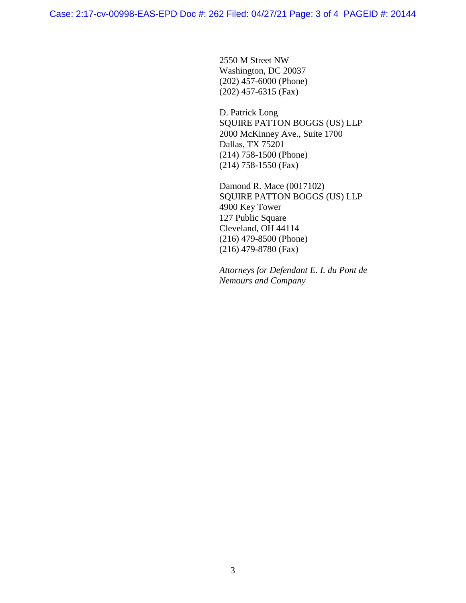2550 M Street NW Washington, DC 20037 (202) 457-6000 (Phone) (202) 457-6315 (Fax)

D. Patrick Long SQUIRE PATTON BOGGS (US) LLP 2000 McKinney Ave., Suite 1700 Dallas, TX 75201 (214) 758-1500 (Phone) (214) 758-1550 (Fax)

Damond R. Mace (0017102) SQUIRE PATTON BOGGS (US) LLP 4900 Key Tower 127 Public Square Cleveland, OH 44114 (216) 479-8500 (Phone) (216) 479-8780 (Fax)

*Attorneys for Defendant E. I. du Pont de Nemours and Company*